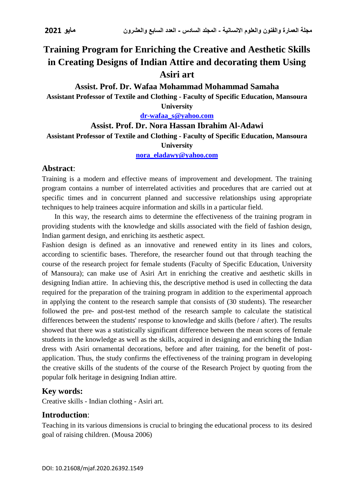# **Training Program for Enriching the Creative and Aesthetic Skills in Creating Designs of Indian Attire and decorating them Using Asiri art**

**Assist. Prof. Dr. Wafaa Mohammad Mohammad Samaha**

**Assistant Professor of Textile and Clothing - Faculty of Specific Education, Mansoura** 

**University**

**[dr-wafaa\\_s@yahoo.com](mailto:dr-wafaa_s@yahoo.com)**

### **Assist. Prof. Dr. Nora Hassan Ibrahim Al-Adawi**

**Assistant Professor of Textile and Clothing - Faculty of Specific Education, Mansoura** 

**University**

**[nora\\_eladawy@yahoo.com](mailto:nora_eladawy@yahoo.com)**

# **Abstract**:

Training is a modern and effective means of improvement and development. The training program contains a number of interrelated activities and procedures that are carried out at specific times and in concurrent planned and successive relationships using appropriate techniques to help trainees acquire information and skills in a particular field.

 In this way, the research aims to determine the effectiveness of the training program in providing students with the knowledge and skills associated with the field of fashion design, Indian garment design, and enriching its aesthetic aspect.

Fashion design is defined as an innovative and renewed entity in its lines and colors, according to scientific bases. Therefore, the researcher found out that through teaching the course of the research project for female students (Faculty of Specific Education, University of Mansoura); can make use of Asiri Art in enriching the creative and aesthetic skills in designing Indian attire. In achieving this, the descriptive method is used in collecting the data required for the preparation of the training program in addition to the experimental approach in applying the content to the research sample that consists of (30 students). The researcher followed the pre- and post-test method of the research sample to calculate the statistical differences between the students' response to knowledge and skills (before / after). The results showed that there was a statistically significant difference between the mean scores of female students in the knowledge as well as the skills, acquired in designing and enriching the Indian dress with Asiri ornamental decorations, before and after training, for the benefit of postapplication. Thus, the study confirms the effectiveness of the training program in developing the creative skills of the students of the course of the Research Project by quoting from the popular folk heritage in designing Indian attire.

# **Key words:**

Creative skills - Indian clothing - Asiri art.

# **Introduction**:

Teaching in its various dimensions is crucial to bringing the educational process to its desired goal of raising children. (Mousa 2006)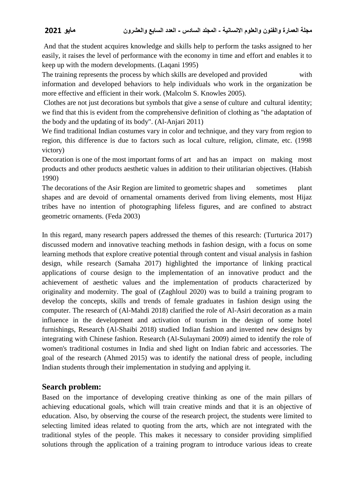And that the student acquires knowledge and skills help to perform the tasks assigned to her easily, it raises the level of performance with the economy in time and effort and enables it to keep up with the modern developments. (Laqani 1995)

The training represents the process by which skills are developed and provided with information and developed behaviors to help individuals who work in the organization be more effective and efficient in their work. (Malcolm S. Knowles 2005).

Clothes are not just decorations but symbols that give a sense of culture and cultural identity; we find that this is evident from the comprehensive definition of clothing as "the adaptation of the body and the updating of its body". (Al-Anjari 2011)

We find traditional Indian costumes vary in color and technique, and they vary from region to region, this difference is due to factors such as local culture, religion, climate, etc. (1998 victory)

Decoration is one of the most important forms of art and has an impact on making most products and other products aesthetic values in addition to their utilitarian objectives. (Habish 1990)

The decorations of the Asir Region are limited to geometric shapes and sometimes plant shapes and are devoid of ornamental ornaments derived from living elements, most Hijaz tribes have no intention of photographing lifeless figures, and are confined to abstract geometric ornaments. (Feda 2003)

In this regard, many research papers addressed the themes of this research: (Turturica 2017) discussed modern and innovative teaching methods in fashion design, with a focus on some learning methods that explore creative potential through content and visual analysis in fashion design, while research (Samaha 2017) highlighted the importance of linking practical applications of course design to the implementation of an innovative product and the achievement of aesthetic values and the implementation of products characterized by originality and modernity. The goal of (Zaghloul 2020) was to build a training program to develop the concepts, skills and trends of female graduates in fashion design using the computer. The research of (Al-Mahdi 2018) clarified the role of Al-Asiri decoration as a main influence in the development and activation of tourism in the design of some hotel furnishings, Research (Al-Shaibi 2018) studied Indian fashion and invented new designs by integrating with Chinese fashion. Research (Al-Sulaymani 2009) aimed to identify the role of women's traditional costumes in India and shed light on Indian fabric and accessories. The goal of the research (Ahmed 2015) was to identify the national dress of people, including Indian students through their implementation in studying and applying it.

# **Search problem:**

Based on the importance of developing creative thinking as one of the main pillars of achieving educational goals, which will train creative minds and that it is an objective of education. Also, by observing the course of the research project, the students were limited to selecting limited ideas related to quoting from the arts, which are not integrated with the traditional styles of the people. This makes it necessary to consider providing simplified solutions through the application of a training program to introduce various ideas to create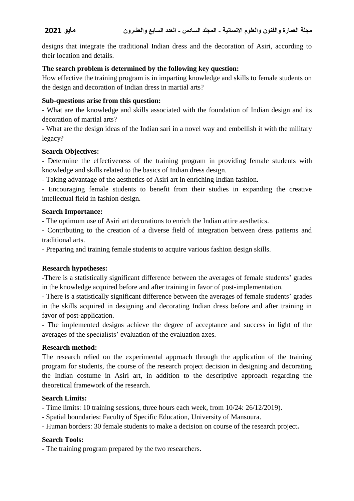designs that integrate the traditional Indian dress and the decoration of Asiri, according to their location and details.

### **The search problem is determined by the following key question:**

How effective the training program is in imparting knowledge and skills to female students on the design and decoration of Indian dress in martial arts?

#### **Sub-questions arise from this question:**

- What are the knowledge and skills associated with the foundation of Indian design and its decoration of martial arts?

- What are the design ideas of the Indian sari in a novel way and embellish it with the military legacy?

#### **Search Objectives:**

- Determine the effectiveness of the training program in providing female students with knowledge and skills related to the basics of Indian dress design.

- Taking advantage of the aesthetics of Asiri art in enriching Indian fashion.

- Encouraging female students to benefit from their studies in expanding the creative intellectual field in fashion design.

#### **Search Importance:**

- The optimum use of Asiri art decorations to enrich the Indian attire aesthetics.

- Contributing to the creation of a diverse field of integration between dress patterns and traditional arts.

- Preparing and training female students to acquire various fashion design skills.

# **Research hypotheses:**

-There is a statistically significant difference between the averages of female students' grades in the knowledge acquired before and after training in favor of post-implementation.

- There is a statistically significant difference between the averages of female students' grades in the skills acquired in designing and decorating Indian dress before and after training in favor of post-application.

- The implemented designs achieve the degree of acceptance and success in light of the averages of the specialists' evaluation of the evaluation axes.

#### **Research method:**

The research relied on the experimental approach through the application of the training program for students, the course of the research project decision in designing and decorating the Indian costume in Asiri art, in addition to the descriptive approach regarding the theoretical framework of the research.

### **Search Limits:**

**-** Time limits: 10 training sessions, three hours each week, from 10/24: 26/12/2019).

- Spatial boundaries: Faculty of Specific Education, University of Mansoura.

- Human borders: 30 female students to make a decision on course of the research project**.**

#### **Search Tools:**

**-** The training program prepared by the two researchers.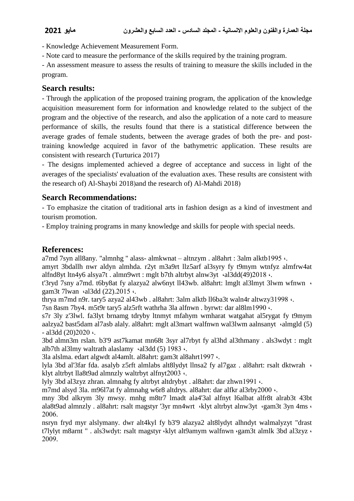- Knowledge Achievement Measurement Form.

- Note card to measure the performance of the skills required by the training program.

- An assessment measure to assess the results of training to measure the skills included in the program.

# **Search results:**

- Through the application of the proposed training program, the application of the knowledge acquisition measurement form for information and knowledge related to the subject of the program and the objective of the research, and also the application of a note card to measure performance of skills, the results found that there is a statistical difference between the average grades of female students, between the average grades of both the pre- and posttraining knowledge acquired in favor of the bathymetric application. These results are consistent with research (Turturica 2017)

- The designs implemented achieved a degree of acceptance and success in light of the averages of the specialists' evaluation of the evaluation axes. These results are consistent with the research of) Al-Shaybi 2018) and the research of) Al-Mahdi 2018)

# **Search Recommendations:**

- To emphasize the citation of traditional arts in fashion design as a kind of investment and tourism promotion.

- Employ training programs in many knowledge and skills for people with special needs.

# **References:**

a7md 7syn all8any. "almnhg " alass- almkwnat – altnzym . al8ahrt : 3alm alktb1995 ،.

amyrt 3bdallh nwr aldyn almhda. r2yt m3a9rt llz5arf al3syry fy t9mym wtnfyz almfrw4at alfnd8yt ltn4y6 alsya7t . almn9wrt : mglt b7th altrbyt alnw3yt ·al3dd(49)2018 ·.

t'3ryd 7sny a7md. t6by8at fy alazya2 alw6nyt ll43wb. al8ahrt: lmglt al3lmyt 3lwm wfnwn ، gam3t 7lwan · al3dd (22).2015 ·.

thrya m7md n9r. tary5 azya2 al43wb . al8ahrt: 3alm alktb ll6ba3t waln4r altwzy31998 ·.

7sn 8asm 7by4. m5t9r tary5 alz5rft wathrha 3la alfnwn . byrwt: dar al8lm1990 ،.

s7r 3ly z'3lwl. fa3lyt brnamg tdryby ltnmyt mfahym wmharat watgahat al5rygat fy t9mym aalzya2 bast5dam al7asb alaly. al8ahrt: mglt al3mart walfnwn wal3lwm aalnsanyt ،almgld (5)  $-$  al3dd (20)2020  $\cdot$ .

3bd almn3m rslan. b3'9 ast7kamat mn68t 3syr al7rbyt fy al3hd al3thmany . als3wdyt : mglt alb7th al3lmy waltrath alaslamy  $\cdot$ al3dd (5) 1983 $\cdot$ .

3la alslma. edart algwdt al4amlt. al8ahrt: gam3t al8ahrt1997 ،.

lyla 3bd al'3far fda. asalyb z5rft almlabs alt8lydyt llnsa2 fy al7gaz . al8ahrt: rsalt dktwrah ، klyt altrbyt lla8t9ad almnzly waltrbyt alfnyt2003 ،.

lyly 3bd al3zyz zhran. almnahg fy altrbyt altdrybyt . al8ahrt: dar zhwn1991 ،.

m7md alsyd 3la. m96l7at fy almnahg w6r8 altdrys. al8ahrt: dar alfkr al3rby2000 ·.

mny 3bd alkrym 3ly mwsy. mnhg m8tr7 lmadt ala4'3al alfnyt l6albat alfr8t alrab3t 43bt ala8t9ad almnzly . al8ahrt: rsalt magstyr '3yr mn4wrt ،klyt altrbyt alnw3yt ،gam3t 3yn 4ms ، 2006.

nsryn fryd myr alslymany. dwr alt4kyl fy b3'9 alazya2 alt8lydyt alhndyt walmalyzyt "drast t7lylyt m8arnt " . als3wdyt: rsalt magstyr ،klyt alt9amym walfnwn ،gam3t almlk 3bd al3zyz ، 2009.